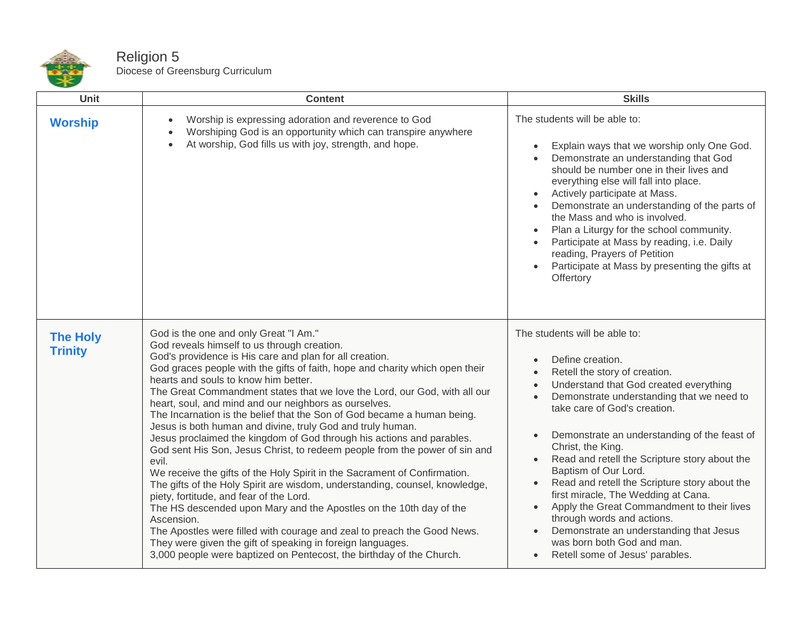

Religion 5 Diocese of Greensburg Curriculum

| Unit                              | <b>Content</b>                                                                                                                                                                                                                                                                                                                                                                                                                                                                                                                                                                                                                                                                                                                                                                                                                                                                                                                                                                                                                                                                                                                                                                                                                     | <b>Skills</b>                                                                                                                                                                                                                                                                                                                                                                                                                                                                                                                                                                                                                                                                                                                      |
|-----------------------------------|------------------------------------------------------------------------------------------------------------------------------------------------------------------------------------------------------------------------------------------------------------------------------------------------------------------------------------------------------------------------------------------------------------------------------------------------------------------------------------------------------------------------------------------------------------------------------------------------------------------------------------------------------------------------------------------------------------------------------------------------------------------------------------------------------------------------------------------------------------------------------------------------------------------------------------------------------------------------------------------------------------------------------------------------------------------------------------------------------------------------------------------------------------------------------------------------------------------------------------|------------------------------------------------------------------------------------------------------------------------------------------------------------------------------------------------------------------------------------------------------------------------------------------------------------------------------------------------------------------------------------------------------------------------------------------------------------------------------------------------------------------------------------------------------------------------------------------------------------------------------------------------------------------------------------------------------------------------------------|
| <b>Worship</b>                    | Worship is expressing adoration and reverence to God<br>Worshiping God is an opportunity which can transpire anywhere<br>At worship, God fills us with joy, strength, and hope.                                                                                                                                                                                                                                                                                                                                                                                                                                                                                                                                                                                                                                                                                                                                                                                                                                                                                                                                                                                                                                                    | The students will be able to:<br>Explain ways that we worship only One God.<br>Demonstrate an understanding that God<br>should be number one in their lives and<br>everything else will fall into place.<br>Actively participate at Mass.<br>Demonstrate an understanding of the parts of<br>the Mass and who is involved.<br>Plan a Liturgy for the school community.<br>$\bullet$<br>Participate at Mass by reading, i.e. Daily<br>reading, Prayers of Petition<br>Participate at Mass by presenting the gifts at<br>Offertory                                                                                                                                                                                                   |
| <b>The Holy</b><br><b>Trinity</b> | God is the one and only Great "I Am."<br>God reveals himself to us through creation.<br>God's providence is His care and plan for all creation.<br>God graces people with the gifts of faith, hope and charity which open their<br>hearts and souls to know him better.<br>The Great Commandment states that we love the Lord, our God, with all our<br>heart, soul, and mind and our neighbors as ourselves.<br>The Incarnation is the belief that the Son of God became a human being.<br>Jesus is both human and divine, truly God and truly human.<br>Jesus proclaimed the kingdom of God through his actions and parables.<br>God sent His Son, Jesus Christ, to redeem people from the power of sin and<br>evil.<br>We receive the gifts of the Holy Spirit in the Sacrament of Confirmation.<br>The gifts of the Holy Spirit are wisdom, understanding, counsel, knowledge,<br>piety, fortitude, and fear of the Lord.<br>The HS descended upon Mary and the Apostles on the 10th day of the<br>Ascension.<br>The Apostles were filled with courage and zeal to preach the Good News.<br>They were given the gift of speaking in foreign languages.<br>3,000 people were baptized on Pentecost, the birthday of the Church. | The students will be able to:<br>Define creation.<br>$\bullet$<br>Retell the story of creation.<br>$\bullet$<br>Understand that God created everything<br>Demonstrate understanding that we need to<br>take care of God's creation.<br>Demonstrate an understanding of the feast of<br>$\bullet$<br>Christ, the King.<br>Read and retell the Scripture story about the<br>Baptism of Our Lord.<br>Read and retell the Scripture story about the<br>$\bullet$<br>first miracle, The Wedding at Cana.<br>Apply the Great Commandment to their lives<br>$\bullet$<br>through words and actions.<br>Demonstrate an understanding that Jesus<br>$\bullet$<br>was born both God and man.<br>Retell some of Jesus' parables.<br>$\bullet$ |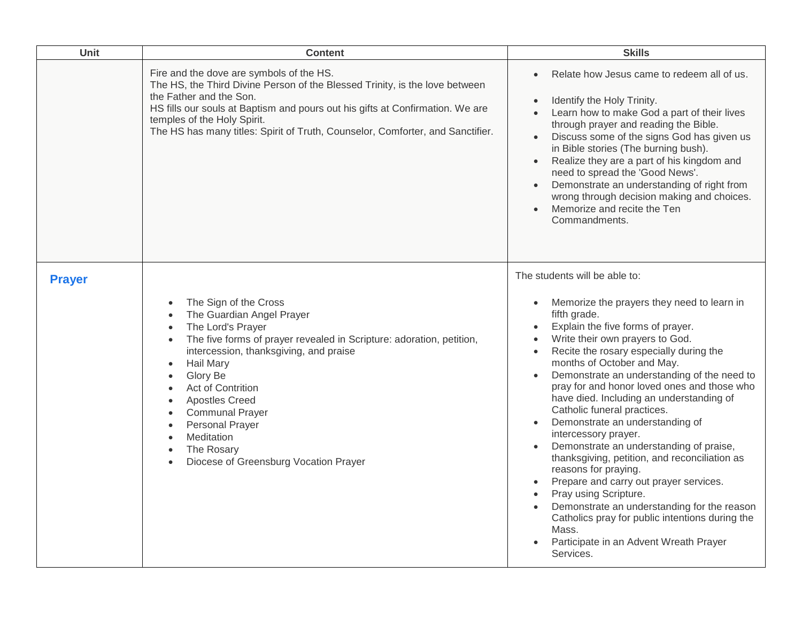| Unit          | <b>Content</b>                                                                                                                                                                                                                                                                                                                                                                                                                                             | <b>Skills</b>                                                                                                                                                                                                                                                                                                                                                                                                                                                                                                                                                                                                                                                                                                                                                                                                                                                                                 |
|---------------|------------------------------------------------------------------------------------------------------------------------------------------------------------------------------------------------------------------------------------------------------------------------------------------------------------------------------------------------------------------------------------------------------------------------------------------------------------|-----------------------------------------------------------------------------------------------------------------------------------------------------------------------------------------------------------------------------------------------------------------------------------------------------------------------------------------------------------------------------------------------------------------------------------------------------------------------------------------------------------------------------------------------------------------------------------------------------------------------------------------------------------------------------------------------------------------------------------------------------------------------------------------------------------------------------------------------------------------------------------------------|
|               | Fire and the dove are symbols of the HS.<br>The HS, the Third Divine Person of the Blessed Trinity, is the love between<br>the Father and the Son.<br>HS fills our souls at Baptism and pours out his gifts at Confirmation. We are<br>temples of the Holy Spirit.<br>The HS has many titles: Spirit of Truth, Counselor, Comforter, and Sanctifier.                                                                                                       | Relate how Jesus came to redeem all of us.<br>$\bullet$<br>Identify the Holy Trinity.<br>$\bullet$<br>Learn how to make God a part of their lives<br>through prayer and reading the Bible.<br>Discuss some of the signs God has given us<br>in Bible stories (The burning bush).<br>Realize they are a part of his kingdom and<br>$\bullet$<br>need to spread the 'Good News'.<br>Demonstrate an understanding of right from<br>$\bullet$<br>wrong through decision making and choices.<br>Memorize and recite the Ten<br>Commandments.                                                                                                                                                                                                                                                                                                                                                       |
| <b>Prayer</b> | The Sign of the Cross<br>$\bullet$<br>The Guardian Angel Prayer<br>The Lord's Prayer<br>$\bullet$<br>The five forms of prayer revealed in Scripture: adoration, petition,<br>$\bullet$<br>intercession, thanksgiving, and praise<br>Hail Mary<br>$\bullet$<br>Glory Be<br>$\bullet$<br>Act of Contrition<br><b>Apostles Creed</b><br><b>Communal Prayer</b><br><b>Personal Prayer</b><br>Meditation<br>The Rosary<br>Diocese of Greensburg Vocation Prayer | The students will be able to:<br>Memorize the prayers they need to learn in<br>$\bullet$<br>fifth grade.<br>Explain the five forms of prayer.<br>Write their own prayers to God.<br>$\bullet$<br>Recite the rosary especially during the<br>$\bullet$<br>months of October and May.<br>Demonstrate an understanding of the need to<br>pray for and honor loved ones and those who<br>have died. Including an understanding of<br>Catholic funeral practices.<br>Demonstrate an understanding of<br>$\bullet$<br>intercessory prayer.<br>Demonstrate an understanding of praise,<br>thanksgiving, petition, and reconciliation as<br>reasons for praying.<br>Prepare and carry out prayer services.<br>Pray using Scripture.<br>Demonstrate an understanding for the reason<br>Catholics pray for public intentions during the<br>Mass.<br>Participate in an Advent Wreath Prayer<br>Services. |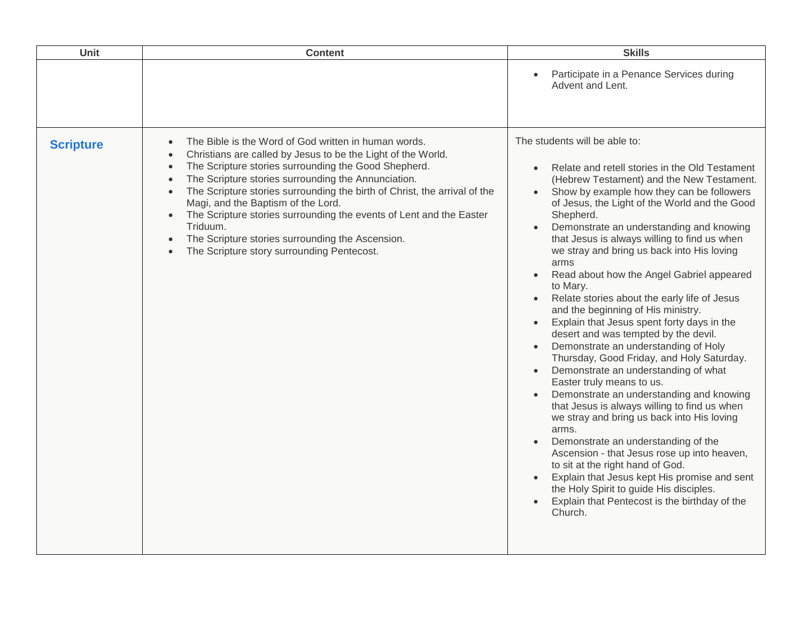| <b>Unit</b><br><b>Content</b>                                                                                                                                                                                                                                                                                                                                                                                                                                                                                                                                   | <b>Skills</b>                                                                                                                                                                                                                                                                                                                                                                                                                                                                                                                                                                                                                                                                                                                                                                                                                                                                                                                                                                                                                                                                                                                                                                                                                                          |
|-----------------------------------------------------------------------------------------------------------------------------------------------------------------------------------------------------------------------------------------------------------------------------------------------------------------------------------------------------------------------------------------------------------------------------------------------------------------------------------------------------------------------------------------------------------------|--------------------------------------------------------------------------------------------------------------------------------------------------------------------------------------------------------------------------------------------------------------------------------------------------------------------------------------------------------------------------------------------------------------------------------------------------------------------------------------------------------------------------------------------------------------------------------------------------------------------------------------------------------------------------------------------------------------------------------------------------------------------------------------------------------------------------------------------------------------------------------------------------------------------------------------------------------------------------------------------------------------------------------------------------------------------------------------------------------------------------------------------------------------------------------------------------------------------------------------------------------|
|                                                                                                                                                                                                                                                                                                                                                                                                                                                                                                                                                                 | Participate in a Penance Services during<br>Advent and Lent.                                                                                                                                                                                                                                                                                                                                                                                                                                                                                                                                                                                                                                                                                                                                                                                                                                                                                                                                                                                                                                                                                                                                                                                           |
| The Bible is the Word of God written in human words.<br><b>Scripture</b><br>Christians are called by Jesus to be the Light of the World.<br>The Scripture stories surrounding the Good Shepherd.<br>The Scripture stories surrounding the Annunciation.<br>The Scripture stories surrounding the birth of Christ, the arrival of the<br>Magi, and the Baptism of the Lord.<br>The Scripture stories surrounding the events of Lent and the Easter<br>Triduum.<br>The Scripture stories surrounding the Ascension.<br>The Scripture story surrounding Pentecost. | The students will be able to:<br>Relate and retell stories in the Old Testament<br>(Hebrew Testament) and the New Testament.<br>Show by example how they can be followers<br>$\bullet$<br>of Jesus, the Light of the World and the Good<br>Shepherd.<br>Demonstrate an understanding and knowing<br>that Jesus is always willing to find us when<br>we stray and bring us back into His loving<br>arms<br>Read about how the Angel Gabriel appeared<br>to Mary.<br>Relate stories about the early life of Jesus<br>and the beginning of His ministry.<br>Explain that Jesus spent forty days in the<br>desert and was tempted by the devil.<br>Demonstrate an understanding of Holy<br>$\bullet$<br>Thursday, Good Friday, and Holy Saturday.<br>Demonstrate an understanding of what<br>Easter truly means to us.<br>Demonstrate an understanding and knowing<br>that Jesus is always willing to find us when<br>we stray and bring us back into His loving<br>arms.<br>Demonstrate an understanding of the<br>Ascension - that Jesus rose up into heaven,<br>to sit at the right hand of God.<br>Explain that Jesus kept His promise and sent<br>the Holy Spirit to guide His disciples.<br>Explain that Pentecost is the birthday of the<br>Church. |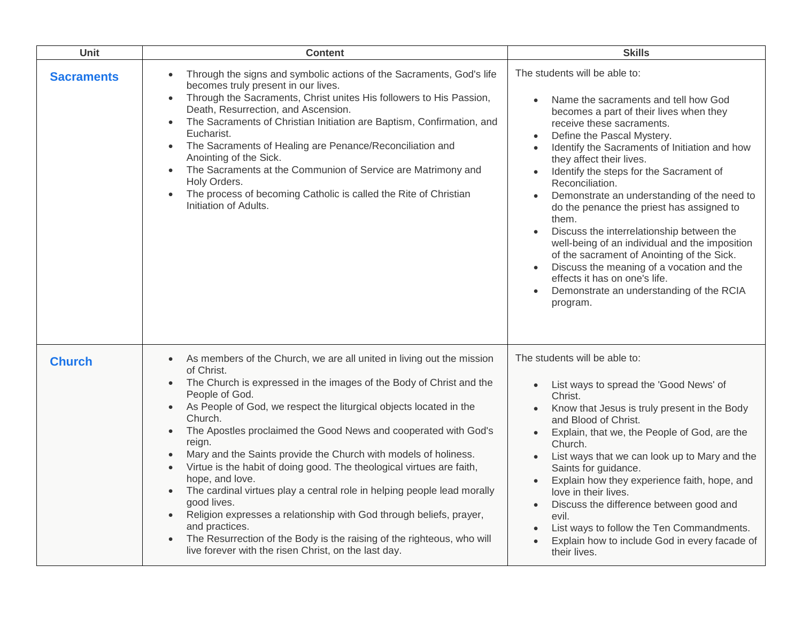| Unit              | <b>Content</b>                                                                                                                                                                                                                                                                                                                                                                                                                                                                                                                                                                                                                                                                                                                                                                                                                                                                     | <b>Skills</b>                                                                                                                                                                                                                                                                                                                                                                                                                                                                                                                                                                                                                                                                                                  |
|-------------------|------------------------------------------------------------------------------------------------------------------------------------------------------------------------------------------------------------------------------------------------------------------------------------------------------------------------------------------------------------------------------------------------------------------------------------------------------------------------------------------------------------------------------------------------------------------------------------------------------------------------------------------------------------------------------------------------------------------------------------------------------------------------------------------------------------------------------------------------------------------------------------|----------------------------------------------------------------------------------------------------------------------------------------------------------------------------------------------------------------------------------------------------------------------------------------------------------------------------------------------------------------------------------------------------------------------------------------------------------------------------------------------------------------------------------------------------------------------------------------------------------------------------------------------------------------------------------------------------------------|
| <b>Sacraments</b> | Through the signs and symbolic actions of the Sacraments, God's life<br>$\bullet$<br>becomes truly present in our lives.<br>Through the Sacraments, Christ unites His followers to His Passion,<br>$\bullet$<br>Death, Resurrection, and Ascension.<br>The Sacraments of Christian Initiation are Baptism, Confirmation, and<br>$\bullet$<br>Eucharist.<br>The Sacraments of Healing are Penance/Reconciliation and<br>Anointing of the Sick.<br>The Sacraments at the Communion of Service are Matrimony and<br>Holy Orders.<br>The process of becoming Catholic is called the Rite of Christian<br>$\bullet$<br>Initiation of Adults.                                                                                                                                                                                                                                            | The students will be able to:<br>Name the sacraments and tell how God<br>becomes a part of their lives when they<br>receive these sacraments.<br>Define the Pascal Mystery.<br>Identify the Sacraments of Initiation and how<br>they affect their lives.<br>Identify the steps for the Sacrament of<br>Reconciliation.<br>Demonstrate an understanding of the need to<br>do the penance the priest has assigned to<br>them.<br>Discuss the interrelationship between the<br>well-being of an individual and the imposition<br>of the sacrament of Anointing of the Sick.<br>Discuss the meaning of a vocation and the<br>effects it has on one's life.<br>Demonstrate an understanding of the RCIA<br>program. |
| <b>Church</b>     | As members of the Church, we are all united in living out the mission<br>$\bullet$<br>of Christ.<br>The Church is expressed in the images of the Body of Christ and the<br>People of God.<br>As People of God, we respect the liturgical objects located in the<br>Church.<br>The Apostles proclaimed the Good News and cooperated with God's<br>$\bullet$<br>reign.<br>Mary and the Saints provide the Church with models of holiness.<br>$\bullet$<br>Virtue is the habit of doing good. The theological virtues are faith,<br>$\bullet$<br>hope, and love.<br>The cardinal virtues play a central role in helping people lead morally<br>good lives.<br>Religion expresses a relationship with God through beliefs, prayer,<br>and practices.<br>The Resurrection of the Body is the raising of the righteous, who will<br>live forever with the risen Christ, on the last day. | The students will be able to:<br>List ways to spread the 'Good News' of<br>Christ.<br>Know that Jesus is truly present in the Body<br>and Blood of Christ.<br>Explain, that we, the People of God, are the<br>$\bullet$<br>Church.<br>List ways that we can look up to Mary and the<br>Saints for guidance.<br>Explain how they experience faith, hope, and<br>love in their lives.<br>Discuss the difference between good and<br>evil.<br>List ways to follow the Ten Commandments.<br>Explain how to include God in every facade of<br>their lives.                                                                                                                                                          |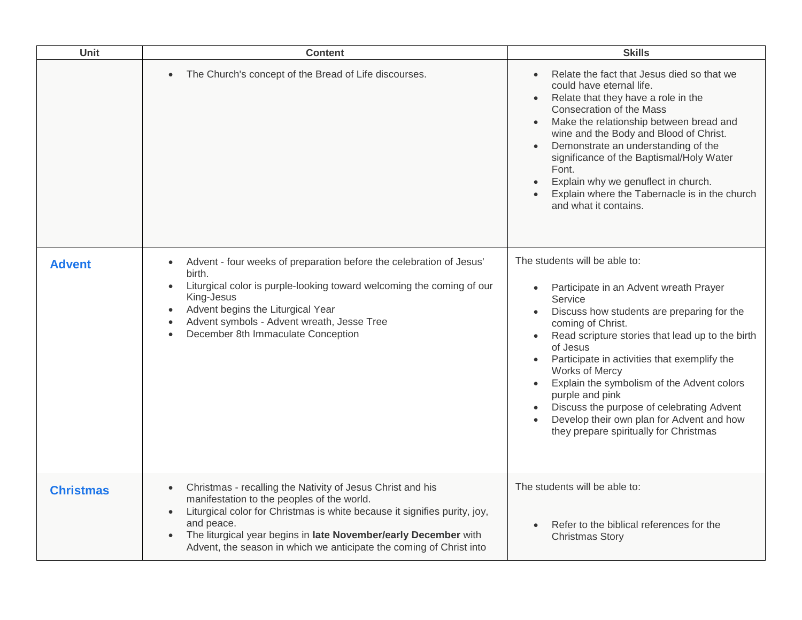| Unit             | <b>Content</b>                                                                                                                                                                                                                                                                                                                                             | <b>Skills</b>                                                                                                                                                                                                                                                                                                                                                                                                                                                                                                          |
|------------------|------------------------------------------------------------------------------------------------------------------------------------------------------------------------------------------------------------------------------------------------------------------------------------------------------------------------------------------------------------|------------------------------------------------------------------------------------------------------------------------------------------------------------------------------------------------------------------------------------------------------------------------------------------------------------------------------------------------------------------------------------------------------------------------------------------------------------------------------------------------------------------------|
|                  | The Church's concept of the Bread of Life discourses.                                                                                                                                                                                                                                                                                                      | Relate the fact that Jesus died so that we<br>$\bullet$<br>could have eternal life.<br>Relate that they have a role in the<br>Consecration of the Mass<br>Make the relationship between bread and<br>wine and the Body and Blood of Christ.<br>Demonstrate an understanding of the<br>significance of the Baptismal/Holy Water<br>Font.<br>Explain why we genuflect in church.<br>$\bullet$<br>Explain where the Tabernacle is in the church<br>and what it contains.                                                  |
| <b>Advent</b>    | Advent - four weeks of preparation before the celebration of Jesus'<br>$\bullet$<br>birth.<br>Liturgical color is purple-looking toward welcoming the coming of our<br>King-Jesus<br>Advent begins the Liturgical Year<br>Advent symbols - Advent wreath, Jesse Tree<br>December 8th Immaculate Conception                                                 | The students will be able to:<br>Participate in an Advent wreath Prayer<br>$\bullet$<br>Service<br>Discuss how students are preparing for the<br>$\bullet$<br>coming of Christ.<br>Read scripture stories that lead up to the birth<br>of Jesus<br>Participate in activities that exemplify the<br>Works of Mercy<br>Explain the symbolism of the Advent colors<br>purple and pink<br>Discuss the purpose of celebrating Advent<br>Develop their own plan for Advent and how<br>they prepare spiritually for Christmas |
| <b>Christmas</b> | Christmas - recalling the Nativity of Jesus Christ and his<br>$\bullet$<br>manifestation to the peoples of the world.<br>Liturgical color for Christmas is white because it signifies purity, joy,<br>and peace.<br>The liturgical year begins in late November/early December with<br>Advent, the season in which we anticipate the coming of Christ into | The students will be able to:<br>Refer to the biblical references for the<br>$\bullet$<br><b>Christmas Story</b>                                                                                                                                                                                                                                                                                                                                                                                                       |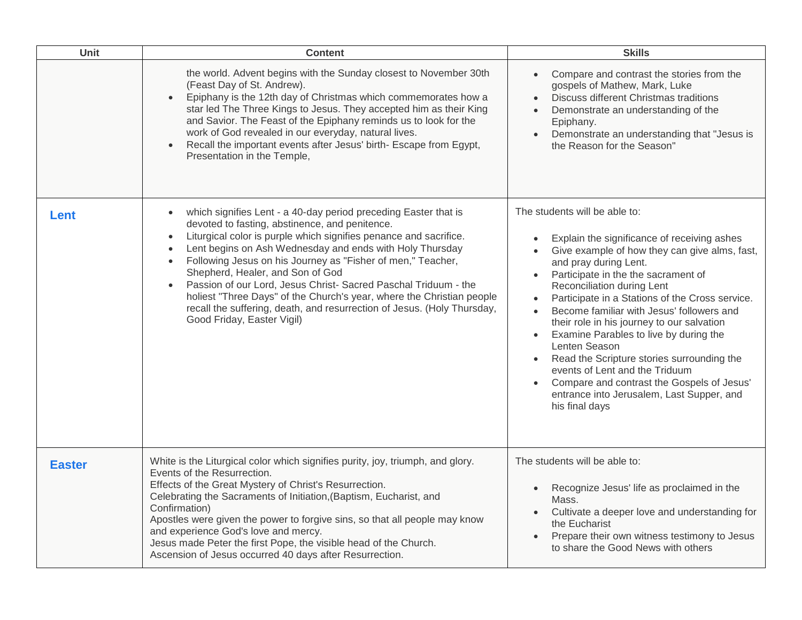| Unit          | <b>Content</b>                                                                                                                                                                                                                                                                                                                                                                                                                                                                                                                                                                                                                       | <b>Skills</b>                                                                                                                                                                                                                                                                                                                                                                                                                                                                                                                                                                                                                                                                         |
|---------------|--------------------------------------------------------------------------------------------------------------------------------------------------------------------------------------------------------------------------------------------------------------------------------------------------------------------------------------------------------------------------------------------------------------------------------------------------------------------------------------------------------------------------------------------------------------------------------------------------------------------------------------|---------------------------------------------------------------------------------------------------------------------------------------------------------------------------------------------------------------------------------------------------------------------------------------------------------------------------------------------------------------------------------------------------------------------------------------------------------------------------------------------------------------------------------------------------------------------------------------------------------------------------------------------------------------------------------------|
|               | the world. Advent begins with the Sunday closest to November 30th<br>(Feast Day of St. Andrew).<br>Epiphany is the 12th day of Christmas which commemorates how a<br>star led The Three Kings to Jesus. They accepted him as their King<br>and Savior. The Feast of the Epiphany reminds us to look for the<br>work of God revealed in our everyday, natural lives.<br>Recall the important events after Jesus' birth- Escape from Egypt,<br>Presentation in the Temple,                                                                                                                                                             | Compare and contrast the stories from the<br>gospels of Mathew, Mark, Luke<br>Discuss different Christmas traditions<br>Demonstrate an understanding of the<br>Epiphany.<br>Demonstrate an understanding that "Jesus is<br>the Reason for the Season"                                                                                                                                                                                                                                                                                                                                                                                                                                 |
| Lent          | which signifies Lent - a 40-day period preceding Easter that is<br>$\bullet$<br>devoted to fasting, abstinence, and penitence.<br>Liturgical color is purple which signifies penance and sacrifice.<br>$\bullet$<br>Lent begins on Ash Wednesday and ends with Holy Thursday<br>Following Jesus on his Journey as "Fisher of men," Teacher,<br>Shepherd, Healer, and Son of God<br>Passion of our Lord, Jesus Christ- Sacred Paschal Triduum - the<br>holiest "Three Days" of the Church's year, where the Christian people<br>recall the suffering, death, and resurrection of Jesus. (Holy Thursday,<br>Good Friday, Easter Vigil) | The students will be able to:<br>Explain the significance of receiving ashes<br>Give example of how they can give alms, fast,<br>and pray during Lent.<br>Participate in the the sacrament of<br>$\bullet$<br>Reconciliation during Lent<br>Participate in a Stations of the Cross service.<br>Become familiar with Jesus' followers and<br>$\bullet$<br>their role in his journey to our salvation<br>Examine Parables to live by during the<br>$\bullet$<br>Lenten Season<br>Read the Scripture stories surrounding the<br>$\bullet$<br>events of Lent and the Triduum<br>Compare and contrast the Gospels of Jesus'<br>entrance into Jerusalem, Last Supper, and<br>his final days |
| <b>Easter</b> | White is the Liturgical color which signifies purity, joy, triumph, and glory.<br>Events of the Resurrection.<br>Effects of the Great Mystery of Christ's Resurrection.<br>Celebrating the Sacraments of Initiation, (Baptism, Eucharist, and<br>Confirmation)<br>Apostles were given the power to forgive sins, so that all people may know<br>and experience God's love and mercy.<br>Jesus made Peter the first Pope, the visible head of the Church.<br>Ascension of Jesus occurred 40 days after Resurrection.                                                                                                                  | The students will be able to:<br>Recognize Jesus' life as proclaimed in the<br>$\bullet$<br>Mass.<br>Cultivate a deeper love and understanding for<br>the Eucharist<br>Prepare their own witness testimony to Jesus<br>to share the Good News with others                                                                                                                                                                                                                                                                                                                                                                                                                             |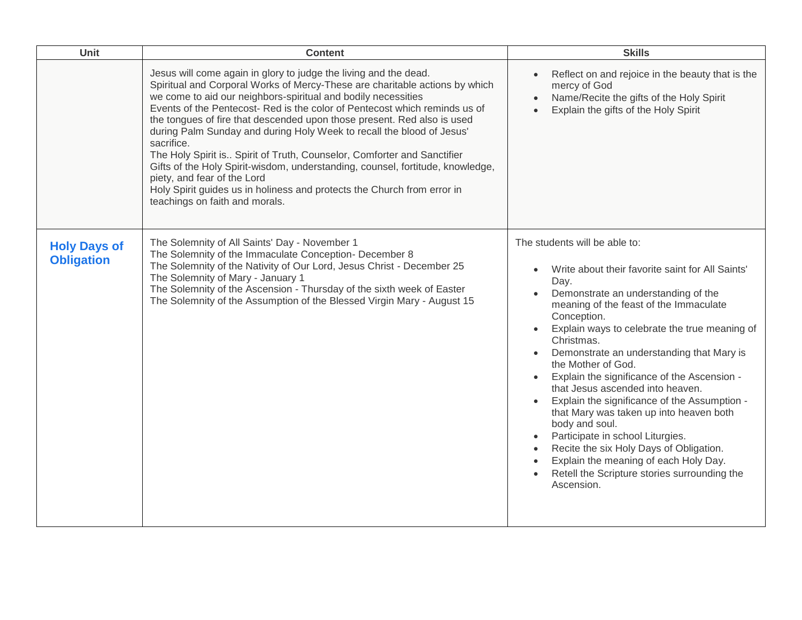| Unit                                     | <b>Content</b>                                                                                                                                                                                                                                                                                                                                                                                                                                                                                                                                                                                                                                                                                                                                                            | <b>Skills</b>                                                                                                                                                                                                                                                                                                                                                                                                                                                                                                                                                                                                                                                                                                                  |
|------------------------------------------|---------------------------------------------------------------------------------------------------------------------------------------------------------------------------------------------------------------------------------------------------------------------------------------------------------------------------------------------------------------------------------------------------------------------------------------------------------------------------------------------------------------------------------------------------------------------------------------------------------------------------------------------------------------------------------------------------------------------------------------------------------------------------|--------------------------------------------------------------------------------------------------------------------------------------------------------------------------------------------------------------------------------------------------------------------------------------------------------------------------------------------------------------------------------------------------------------------------------------------------------------------------------------------------------------------------------------------------------------------------------------------------------------------------------------------------------------------------------------------------------------------------------|
|                                          | Jesus will come again in glory to judge the living and the dead.<br>Spiritual and Corporal Works of Mercy-These are charitable actions by which<br>we come to aid our neighbors-spiritual and bodily necessities<br>Events of the Pentecost- Red is the color of Pentecost which reminds us of<br>the tongues of fire that descended upon those present. Red also is used<br>during Palm Sunday and during Holy Week to recall the blood of Jesus'<br>sacrifice.<br>The Holy Spirit is Spirit of Truth, Counselor, Comforter and Sanctifier<br>Gifts of the Holy Spirit-wisdom, understanding, counsel, fortitude, knowledge,<br>piety, and fear of the Lord<br>Holy Spirit guides us in holiness and protects the Church from error in<br>teachings on faith and morals. | Reflect on and rejoice in the beauty that is the<br>mercy of God<br>Name/Recite the gifts of the Holy Spirit<br>Explain the gifts of the Holy Spirit                                                                                                                                                                                                                                                                                                                                                                                                                                                                                                                                                                           |
| <b>Holy Days of</b><br><b>Obligation</b> | The Solemnity of All Saints' Day - November 1<br>The Solemnity of the Immaculate Conception- December 8<br>The Solemnity of the Nativity of Our Lord, Jesus Christ - December 25<br>The Solemnity of Mary - January 1<br>The Solemnity of the Ascension - Thursday of the sixth week of Easter<br>The Solemnity of the Assumption of the Blessed Virgin Mary - August 15                                                                                                                                                                                                                                                                                                                                                                                                  | The students will be able to:<br>Write about their favorite saint for All Saints'<br>$\bullet$<br>Day.<br>Demonstrate an understanding of the<br>meaning of the feast of the Immaculate<br>Conception.<br>Explain ways to celebrate the true meaning of<br>Christmas.<br>Demonstrate an understanding that Mary is<br>the Mother of God.<br>Explain the significance of the Ascension -<br>that Jesus ascended into heaven.<br>Explain the significance of the Assumption -<br>that Mary was taken up into heaven both<br>body and soul.<br>Participate in school Liturgies.<br>Recite the six Holy Days of Obligation.<br>Explain the meaning of each Holy Day.<br>Retell the Scripture stories surrounding the<br>Ascension. |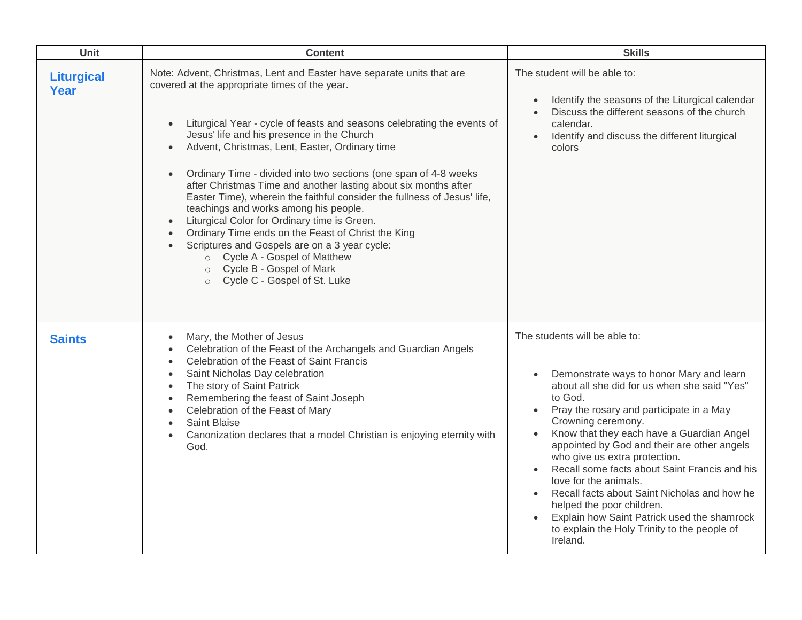| Unit                      | <b>Content</b>                                                                                                                                                                                                                                                                                                                                                                                                                                                                                                                                                                                                                                                                                                                                                                                                                                                                                  | <b>Skills</b>                                                                                                                                                                                                                                                                                                                                                                                                                                                                                                                                                                                                      |
|---------------------------|-------------------------------------------------------------------------------------------------------------------------------------------------------------------------------------------------------------------------------------------------------------------------------------------------------------------------------------------------------------------------------------------------------------------------------------------------------------------------------------------------------------------------------------------------------------------------------------------------------------------------------------------------------------------------------------------------------------------------------------------------------------------------------------------------------------------------------------------------------------------------------------------------|--------------------------------------------------------------------------------------------------------------------------------------------------------------------------------------------------------------------------------------------------------------------------------------------------------------------------------------------------------------------------------------------------------------------------------------------------------------------------------------------------------------------------------------------------------------------------------------------------------------------|
| <b>Liturgical</b><br>Year | Note: Advent, Christmas, Lent and Easter have separate units that are<br>covered at the appropriate times of the year.<br>Liturgical Year - cycle of feasts and seasons celebrating the events of<br>$\bullet$<br>Jesus' life and his presence in the Church<br>Advent, Christmas, Lent, Easter, Ordinary time<br>$\bullet$<br>Ordinary Time - divided into two sections (one span of 4-8 weeks<br>$\bullet$<br>after Christmas Time and another lasting about six months after<br>Easter Time), wherein the faithful consider the fullness of Jesus' life,<br>teachings and works among his people.<br>Liturgical Color for Ordinary time is Green.<br>$\bullet$<br>Ordinary Time ends on the Feast of Christ the King<br>$\bullet$<br>Scriptures and Gospels are on a 3 year cycle:<br>$\bullet$<br>○ Cycle A - Gospel of Matthew<br>Cycle B - Gospel of Mark<br>Cycle C - Gospel of St. Luke | The student will be able to:<br>Identify the seasons of the Liturgical calendar<br>$\bullet$<br>Discuss the different seasons of the church<br>calendar.<br>Identify and discuss the different liturgical<br>$\bullet$<br>colors                                                                                                                                                                                                                                                                                                                                                                                   |
| <b>Saints</b>             | Mary, the Mother of Jesus<br>$\bullet$<br>Celebration of the Feast of the Archangels and Guardian Angels<br>$\bullet$<br>Celebration of the Feast of Saint Francis<br>$\bullet$<br>Saint Nicholas Day celebration<br>$\bullet$<br>The story of Saint Patrick<br>$\bullet$<br>Remembering the feast of Saint Joseph<br>$\bullet$<br>Celebration of the Feast of Mary<br>$\bullet$<br>Saint Blaise<br>$\bullet$<br>Canonization declares that a model Christian is enjoying eternity with<br>$\bullet$<br>God.                                                                                                                                                                                                                                                                                                                                                                                    | The students will be able to:<br>Demonstrate ways to honor Mary and learn<br>$\bullet$<br>about all she did for us when she said "Yes"<br>to God.<br>Pray the rosary and participate in a May<br>Crowning ceremony.<br>Know that they each have a Guardian Angel<br>appointed by God and their are other angels<br>who give us extra protection.<br>Recall some facts about Saint Francis and his<br>love for the animals.<br>Recall facts about Saint Nicholas and how he<br>helped the poor children.<br>Explain how Saint Patrick used the shamrock<br>to explain the Holy Trinity to the people of<br>Ireland. |